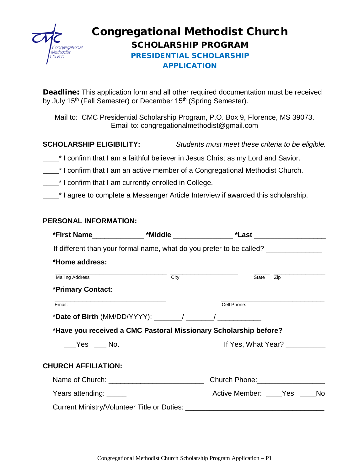

# Congregational Methodist Church SCHOLARSHIP PROGRAM

## PRESIDENTIAL SCHOLARSHIP APPLICATION

Deadline: This application form and all other required documentation must be received by July 15<sup>th</sup> (Fall Semester) or December 15<sup>th</sup> (Spring Semester).

Mail to: CMC Presidential Scholarship Program, P.O. Box 9, Florence, MS 39073. Email to: congregationalmethodist@gmail.com

**SCHOLARSHIP ELIGIBILITY:** *Students must meet these criteria to be eligible.* 

- **\_\_\_\_**\* I confirm that I am a faithful believer in Jesus Christ as my Lord and Savior.
- **\_\_\_\_**\* I confirm that I am an active member of a Congregational Methodist Church.
- **\_\_\_\_**\* I confirm that I am currently enrolled in College.

**\_\_\_\_<sup>\*</sup>** I agree to complete a Messenger Article Interview if awarded this scholarship.

### **PERSONAL INFORMATION:**

| *First Name______________ *Middle _______________ *Last _______________________  |                   |             |                                   |  |  |
|----------------------------------------------------------------------------------|-------------------|-------------|-----------------------------------|--|--|
| If different than your formal name, what do you prefer to be called? ___________ |                   |             |                                   |  |  |
| *Home address:                                                                   |                   |             |                                   |  |  |
| <b>Mailing Address</b>                                                           | $\overline{City}$ |             | State Zip                         |  |  |
| *Primary Contact:                                                                |                   |             |                                   |  |  |
| Email:                                                                           |                   | Cell Phone: |                                   |  |  |
| *Date of Birth (MM/DD/YYYY): $\qquad \qquad /$ /                                 |                   |             |                                   |  |  |
| *Have you received a CMC Pastoral Missionary Scholarship before?                 |                   |             |                                   |  |  |
| Yes ____ No.                                                                     |                   |             | If Yes, What Year?                |  |  |
| <b>CHURCH AFFILIATION:</b>                                                       |                   |             |                                   |  |  |
|                                                                                  |                   |             | Church Phone: 2008 2010 2020 2021 |  |  |
| Years attending: _____                                                           |                   |             | Active Member: ____Yes ____No     |  |  |
|                                                                                  |                   |             |                                   |  |  |